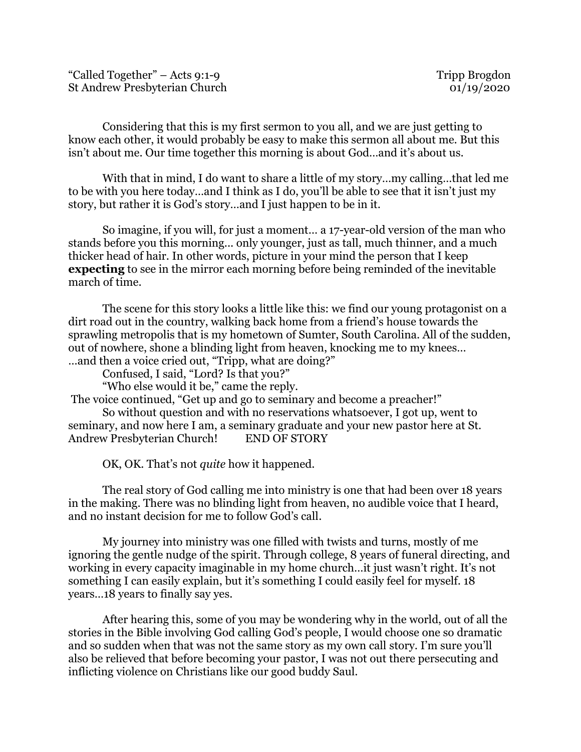"Called Together" – Acts 9:1-9 Tripp Brogdon St Andrew Presbyterian Church 01/19/2020

Considering that this is my first sermon to you all, and we are just getting to know each other, it would probably be easy to make this sermon all about me. But this isn't about me. Our time together this morning is about God…and it's about us.

With that in mind, I do want to share a little of my story…my calling…that led me to be with you here today…and I think as I do, you'll be able to see that it isn't just my story, but rather it is God's story…and I just happen to be in it.

So imagine, if you will, for just a moment… a 17-year-old version of the man who stands before you this morning... only younger, just as tall, much thinner, and a much thicker head of hair. In other words, picture in your mind the person that I keep **expecting** to see in the mirror each morning before being reminded of the inevitable march of time.

The scene for this story looks a little like this: we find our young protagonist on a dirt road out in the country, walking back home from a friend's house towards the sprawling metropolis that is my hometown of Sumter, South Carolina. All of the sudden, out of nowhere, shone a blinding light from heaven, knocking me to my knees… …and then a voice cried out, "Tripp, what are doing?"

Confused, I said, "Lord? Is that you?"

"Who else would it be," came the reply.

The voice continued, "Get up and go to seminary and become a preacher!"

So without question and with no reservations whatsoever, I got up, went to seminary, and now here I am, a seminary graduate and your new pastor here at St. Andrew Presbyterian Church! END OF STORY

OK, OK. That's not *quite* how it happened.

The real story of God calling me into ministry is one that had been over 18 years in the making. There was no blinding light from heaven, no audible voice that I heard, and no instant decision for me to follow God's call.

My journey into ministry was one filled with twists and turns, mostly of me ignoring the gentle nudge of the spirit. Through college, 8 years of funeral directing, and working in every capacity imaginable in my home church…it just wasn't right. It's not something I can easily explain, but it's something I could easily feel for myself. 18 years…18 years to finally say yes.

After hearing this, some of you may be wondering why in the world, out of all the stories in the Bible involving God calling God's people, I would choose one so dramatic and so sudden when that was not the same story as my own call story. I'm sure you'll also be relieved that before becoming your pastor, I was not out there persecuting and inflicting violence on Christians like our good buddy Saul.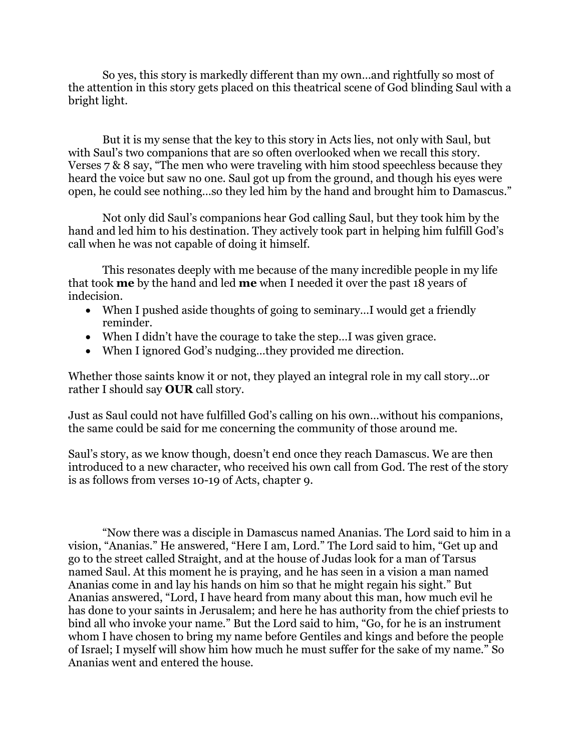So yes, this story is markedly different than my own…and rightfully so most of the attention in this story gets placed on this theatrical scene of God blinding Saul with a bright light.

But it is my sense that the key to this story in Acts lies, not only with Saul, but with Saul's two companions that are so often overlooked when we recall this story. Verses 7 & 8 say, "The men who were traveling with him stood speechless because they heard the voice but saw no one. Saul got up from the ground, and though his eyes were open, he could see nothing…so they led him by the hand and brought him to Damascus."

Not only did Saul's companions hear God calling Saul, but they took him by the hand and led him to his destination. They actively took part in helping him fulfill God's call when he was not capable of doing it himself.

This resonates deeply with me because of the many incredible people in my life that took **me** by the hand and led **me** when I needed it over the past 18 years of indecision.

- When I pushed aside thoughts of going to seminary...I would get a friendly reminder.
- When I didn't have the courage to take the step…I was given grace.
- When I ignored God's nudging…they provided me direction.

Whether those saints know it or not, they played an integral role in my call story…or rather I should say **OUR** call story.

Just as Saul could not have fulfilled God's calling on his own…without his companions, the same could be said for me concerning the community of those around me.

Saul's story, as we know though, doesn't end once they reach Damascus. We are then introduced to a new character, who received his own call from God. The rest of the story is as follows from verses 10-19 of Acts, chapter 9.

"Now there was a disciple in Damascus named Ananias. The Lord said to him in a vision, "Ananias." He answered, "Here I am, Lord." The Lord said to him, "Get up and go to the street called Straight, and at the house of Judas look for a man of Tarsus named Saul. At this moment he is praying, and he has seen in a vision a man named Ananias come in and lay his hands on him so that he might regain his sight." But Ananias answered, "Lord, I have heard from many about this man, how much evil he has done to your saints in Jerusalem; and here he has authority from the chief priests to bind all who invoke your name." But the Lord said to him, "Go, for he is an instrument whom I have chosen to bring my name before Gentiles and kings and before the people of Israel; I myself will show him how much he must suffer for the sake of my name." So Ananias went and entered the house.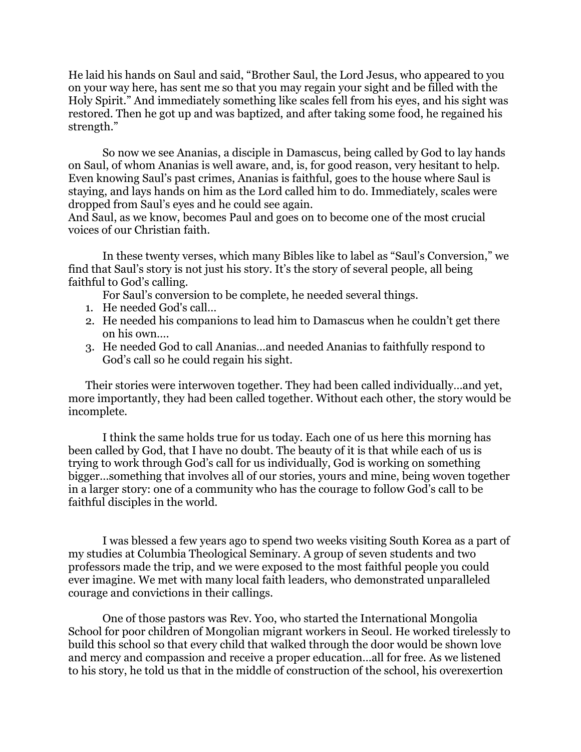He laid his hands on Saul and said, "Brother Saul, the Lord Jesus, who appeared to you on your way here, has sent me so that you may regain your sight and be filled with the Holy Spirit." And immediately something like scales fell from his eyes, and his sight was restored. Then he got up and was baptized, and after taking some food, he regained his strength."

So now we see Ananias, a disciple in Damascus, being called by God to lay hands on Saul, of whom Ananias is well aware, and, is, for good reason, very hesitant to help. Even knowing Saul's past crimes, Ananias is faithful, goes to the house where Saul is staying, and lays hands on him as the Lord called him to do. Immediately, scales were dropped from Saul's eyes and he could see again.

And Saul, as we know, becomes Paul and goes on to become one of the most crucial voices of our Christian faith.

In these twenty verses, which many Bibles like to label as "Saul's Conversion," we find that Saul's story is not just his story. It's the story of several people, all being faithful to God's calling.

For Saul's conversion to be complete, he needed several things.

- 1. He needed God's call…
- 2. He needed his companions to lead him to Damascus when he couldn't get there on his own….
- 3. He needed God to call Ananias…and needed Ananias to faithfully respond to God's call so he could regain his sight.

Their stories were interwoven together. They had been called individually…and yet, more importantly, they had been called together. Without each other, the story would be incomplete.

I think the same holds true for us today. Each one of us here this morning has been called by God, that I have no doubt. The beauty of it is that while each of us is trying to work through God's call for us individually, God is working on something bigger…something that involves all of our stories, yours and mine, being woven together in a larger story: one of a community who has the courage to follow God's call to be faithful disciples in the world.

I was blessed a few years ago to spend two weeks visiting South Korea as a part of my studies at Columbia Theological Seminary. A group of seven students and two professors made the trip, and we were exposed to the most faithful people you could ever imagine. We met with many local faith leaders, who demonstrated unparalleled courage and convictions in their callings.

One of those pastors was Rev. Yoo, who started the International Mongolia School for poor children of Mongolian migrant workers in Seoul. He worked tirelessly to build this school so that every child that walked through the door would be shown love and mercy and compassion and receive a proper education…all for free. As we listened to his story, he told us that in the middle of construction of the school, his overexertion